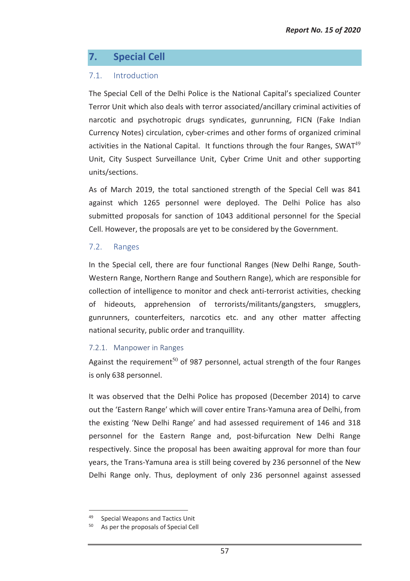# **7. Special Cell**

# 7.1. Introduction

The Special Cell of the Delhi Police is the National Capital's specialized Counter Terror Unit which also deals with terror associated/ancillary criminal activities of narcotic and psychotropic drugs syndicates, gunrunning, FICN (Fake Indian Currency Notes) circulation, cyber-crimes and other forms of organized criminal activities in the National Capital. It functions through the four Ranges, SWAT $49$ Unit, City Suspect Surveillance Unit, Cyber Crime Unit and other supporting units/sections.

As of March 2019, the total sanctioned strength of the Special Cell was 841 against which 1265 personnel were deployed. The Delhi Police has also submitted proposals for sanction of 1043 additional personnel for the Special Cell. However, the proposals are yet to be considered by the Government.

#### 7.2. Ranges

In the Special cell, there are four functional Ranges (New Delhi Range, South-Western Range, Northern Range and Southern Range), which are responsible for collection of intelligence to monitor and check anti-terrorist activities, checking of hideouts, apprehension of terrorists/militants/gangsters, smugglers, gunrunners, counterfeiters, narcotics etc. and any other matter affecting national security, public order and tranquillity.

#### 7.2.1. Manpower in Ranges

Against the requirement<sup>50</sup> of 987 personnel, actual strength of the four Ranges is only 638 personnel.

It was observed that the Delhi Police has proposed (December 2014) to carve out the 'Eastern Range' which will cover entire Trans-Yamuna area of Delhi, from the existing 'New Delhi Range' and had assessed requirement of 146 and 318 personnel for the Eastern Range and, post-bifurcation New Delhi Range respectively. Since the proposal has been awaiting approval for more than four years, the Trans-Yamuna area is still being covered by 236 personnel of the New Delhi Range only. Thus, deployment of only 236 personnel against assessed

 $\overline{a}$ 

Special Weapons and Tactics Unit

As per the proposals of Special Cell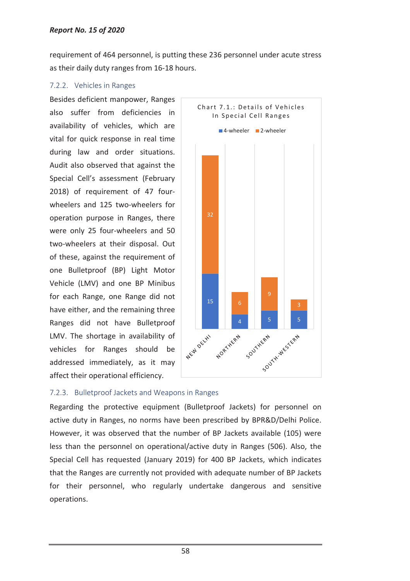requirement of 464 personnel, is putting these 236 personnel under acute stress as their daily duty ranges from 16-18 hours.

### 7.2.2. Vehicles in Ranges

Besides deficient manpower, Ranges also suffer from deficiencies in availability of vehicles, which are vital for quick response in real time during law and order situations. Audit also observed that against the Special Cell's assessment (February 2018) of requirement of 47 fourwheelers and 125 two-wheelers for operation purpose in Ranges, there were only 25 four-wheelers and 50 two-wheelers at their disposal. Out of these, against the requirement of one Bulletproof (BP) Light Motor Vehicle (LMV) and one BP Minibus for each Range, one Range did not have either, and the remaining three Ranges did not have Bulletproof LMV. The shortage in availability of vehicles for Ranges should be addressed immediately, as it may affect their operational efficiency.



# 7.2.3. Bulletproof Jackets and Weapons in Ranges

Regarding the protective equipment (Bulletproof Jackets) for personnel on active duty in Ranges, no norms have been prescribed by BPR&D/Delhi Police. However, it was observed that the number of BP Jackets available (105) were less than the personnel on operational/active duty in Ranges (506). Also, the Special Cell has requested (January 2019) for 400 BP Jackets, which indicates that the Ranges are currently not provided with adequate number of BP Jackets for their personnel, who regularly undertake dangerous and sensitive operations.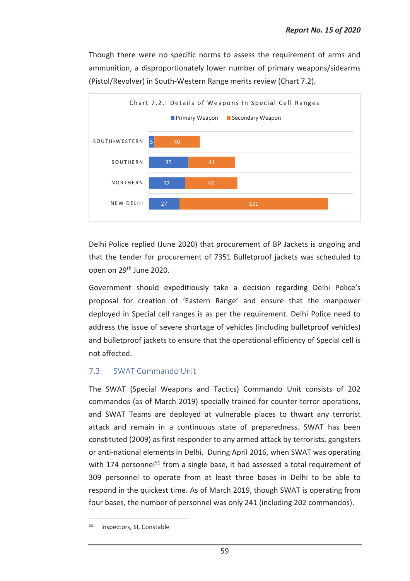Though there were no specific norms to assess the requirement of arms and ammunition, a disproportionately lower number of primary weapons/sidearms (Pistol/Revolver) in South-Western Range merits review (Chart 7.2).



Delhi Police replied (June 2020) that procurement of BP Jackets is ongoing and that the tender for procurement of 7351 Bulletproof jackets was scheduled to open on 29th June 2020.

Government should expeditiously take a decision regarding Delhi Police's proposal for creation of 'Eastern Range' and ensure that the manpower deployed in Special cell ranges is as per the requirement. Delhi Police need to address the issue of severe shortage of vehicles (including bulletproof vehicles) and bulletproof jackets to ensure that the operational efficiency of Special cell is not affected.

# 7.3. SWAT Commando Unit

The SWAT (Special Weapons and Tactics) Commando Unit consists of 202 commandos (as of March 2019) specially trained for counter terror operations, and SWAT Teams are deployed at vulnerable places to thwart any terrorist attack and remain in a continuous state of preparedness. SWAT has been constituted (2009) as first responder to any armed attack by terrorists, gangsters or anti-national elements in Delhi. During April 2016, when SWAT was operating with 174 personnel<sup>51</sup> from a single base, it had assessed a total requirement of 309 personnel to operate from at least three bases in Delhi to be able to respond in the quickest time. As of March 2019, though SWAT is operating from four bases, the number of personnel was only 241 (including 202 commandos).

 $\overline{a}$ 

<sup>51</sup> Inspectors, SI, Constable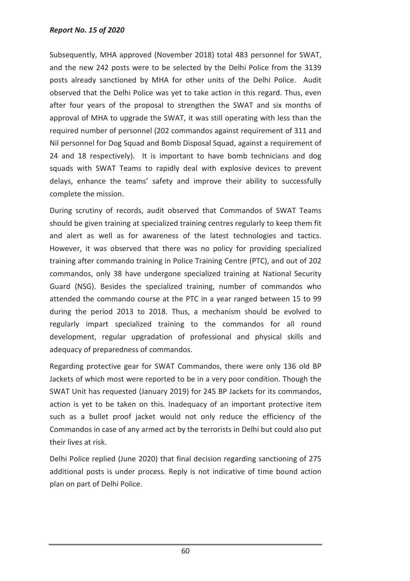#### *Report No. 15 of 2020*

Subsequently, MHA approved (November 2018) total 483 personnel for SWAT, and the new 242 posts were to be selected by the Delhi Police from the 3139 posts already sanctioned by MHA for other units of the Delhi Police. Audit observed that the Delhi Police was yet to take action in this regard. Thus, even after four years of the proposal to strengthen the SWAT and six months of approval of MHA to upgrade the SWAT, it was still operating with less than the required number of personnel (202 commandos against requirement of 311 and Nil personnel for Dog Squad and Bomb Disposal Squad, against a requirement of 24 and 18 respectively). It is important to have bomb technicians and dog squads with SWAT Teams to rapidly deal with explosive devices to prevent delays, enhance the teams' safety and improve their ability to successfully complete the mission.

During scrutiny of records, audit observed that Commandos of SWAT Teams should be given training at specialized training centres regularly to keep them fit and alert as well as for awareness of the latest technologies and tactics. However, it was observed that there was no policy for providing specialized training after commando training in Police Training Centre (PTC), and out of 202 commandos, only 38 have undergone specialized training at National Security Guard (NSG). Besides the specialized training, number of commandos who attended the commando course at the PTC in a year ranged between 15 to 99 during the period 2013 to 2018. Thus, a mechanism should be evolved to regularly impart specialized training to the commandos for all round development, regular upgradation of professional and physical skills and adequacy of preparedness of commandos.

Regarding protective gear for SWAT Commandos, there were only 136 old BP Jackets of which most were reported to be in a very poor condition. Though the SWAT Unit has requested (January 2019) for 245 BP Jackets for its commandos, action is yet to be taken on this. Inadequacy of an important protective item such as a bullet proof jacket would not only reduce the efficiency of the Commandos in case of any armed act by the terrorists in Delhi but could also put their lives at risk.

Delhi Police replied (June 2020) that final decision regarding sanctioning of 275 additional posts is under process. Reply is not indicative of time bound action plan on part of Delhi Police.